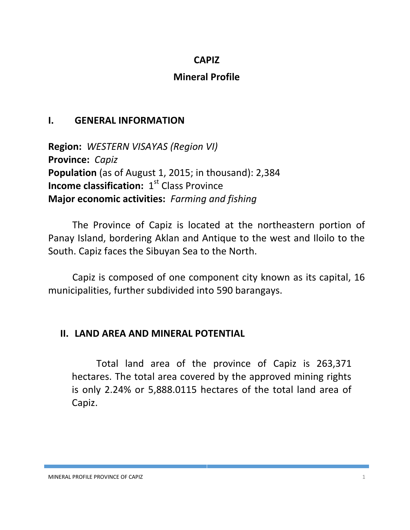### **CAPIZ**

## **Mineral Profile**

## **I. GENERAL INFORMATION**

**Region:** *WESTERN VISAYAS (Region VI)* **Province:** *Capiz* **Population** (as of August 1, 2015; in thousand): 2,384 **Income classification:** 1<sup>st</sup> Class Province **Major economic activities:** *Farming and fishing*

The Province of Capiz is located at the northeastern portion of Panay Island, bordering Aklan and Antique to the west and Iloilo to the South. Capiz faces the Sibuyan Sea to the North.

Capiz is composed of one component city known as its capital, 16 municipalities, further subdivided into 590 barangays.

## **II. LAND AREA AND MINERAL POTENTIAL**

Total land area of the province of Capiz is 263,371 hectares. The total area covered by the approved mining rights is only 2.24% or 5,888.0115 hectares of the total land area of Capiz.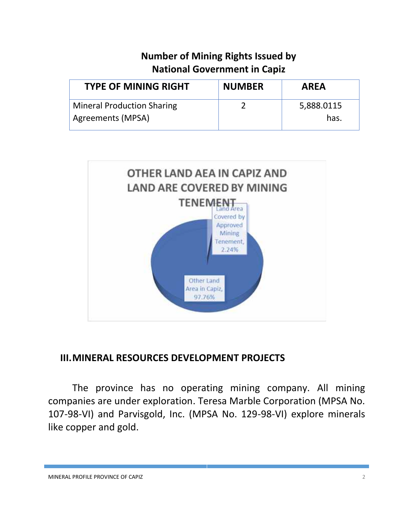# **Number of Mining Rights Issued by National Government in Capiz**

| <b>NUMBER</b> | <b>AREA</b> |
|---------------|-------------|
|               | 5,888.0115  |
|               | has.        |
|               |             |



## **III.MINERAL RESOURCES DEVELOPMENT PROJECTS**

The province has no operating mining company. All mining companies are under exploration. Teresa Marble Corporation (MPSA No. 107-98-VI) and Parvisgold, Inc. (MPSA No. 129-98-VI) explore minerals like copper and gold.